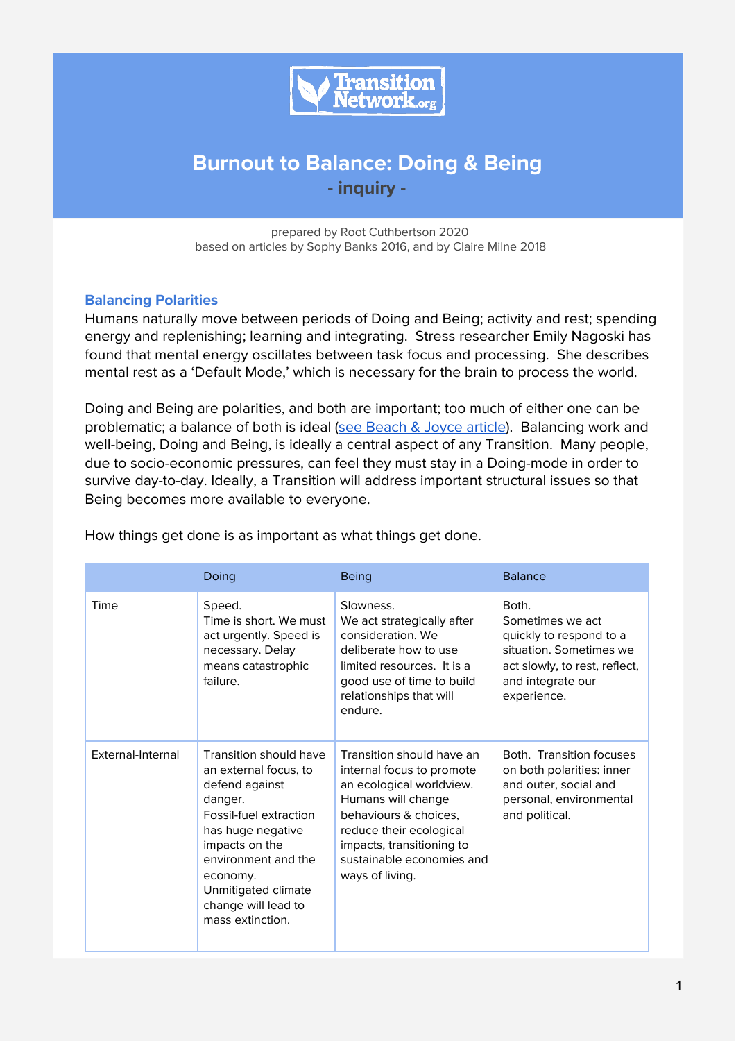

# **Burnout to Balance: Doing & Being - inquiry -**

prepared by Root Cuthbertson 2020 based on articles by Sophy Banks 2016, and by Claire Milne 2018

### **Balancing Polarities**

Humans naturally move between periods of Doing and Being; activity and rest; spending energy and replenishing; learning and integrating. Stress researcher Emily Nagoski has found that mental energy oscillates between task focus and processing. She describes mental rest as a 'Default Mode,' which is necessary for the brain to process the world.

Doing and Being are polarities, and both are important; too much of either one can be problematic; a balance of both is ideal (see [Beach](https://medium.com/org-hacking/polarity-management-beach-joyce-67b60e253d39) & Joyce article). Balancing work and well-being, Doing and Being, is ideally a central aspect of any Transition. Many people, due to socio-economic pressures, can feel they must stay in a Doing-mode in order to survive day-to-day. Ideally, a Transition will address important structural issues so that Being becomes more available to everyone.

|                   | Doing                                                                                                                                                                                                                                              | <b>Being</b>                                                                                                                                                                                                                              | <b>Balance</b>                                                                                                                                       |
|-------------------|----------------------------------------------------------------------------------------------------------------------------------------------------------------------------------------------------------------------------------------------------|-------------------------------------------------------------------------------------------------------------------------------------------------------------------------------------------------------------------------------------------|------------------------------------------------------------------------------------------------------------------------------------------------------|
| Time              | Speed.<br>Time is short. We must<br>act urgently. Speed is<br>necessary. Delay<br>means catastrophic<br>failure.                                                                                                                                   | Slowness.<br>We act strategically after<br>consideration. We<br>deliberate how to use<br>limited resources. It is a<br>good use of time to build<br>relationships that will<br>endure.                                                    | Both.<br>Sometimes we act<br>quickly to respond to a<br>situation. Sometimes we<br>act slowly, to rest, reflect,<br>and integrate our<br>experience. |
| External-Internal | Transition should have<br>an external focus, to<br>defend against<br>danger.<br>Fossil-fuel extraction<br>has huge negative<br>impacts on the<br>environment and the<br>economy.<br>Unmitigated climate<br>change will lead to<br>mass extinction. | Transition should have an<br>internal focus to promote<br>an ecological worldview.<br>Humans will change<br>behaviours & choices,<br>reduce their ecological<br>impacts, transitioning to<br>sustainable economies and<br>ways of living. | Both. Transition focuses<br>on both polarities: inner<br>and outer, social and<br>personal, environmental<br>and political.                          |

How things get done is as important as what things get done.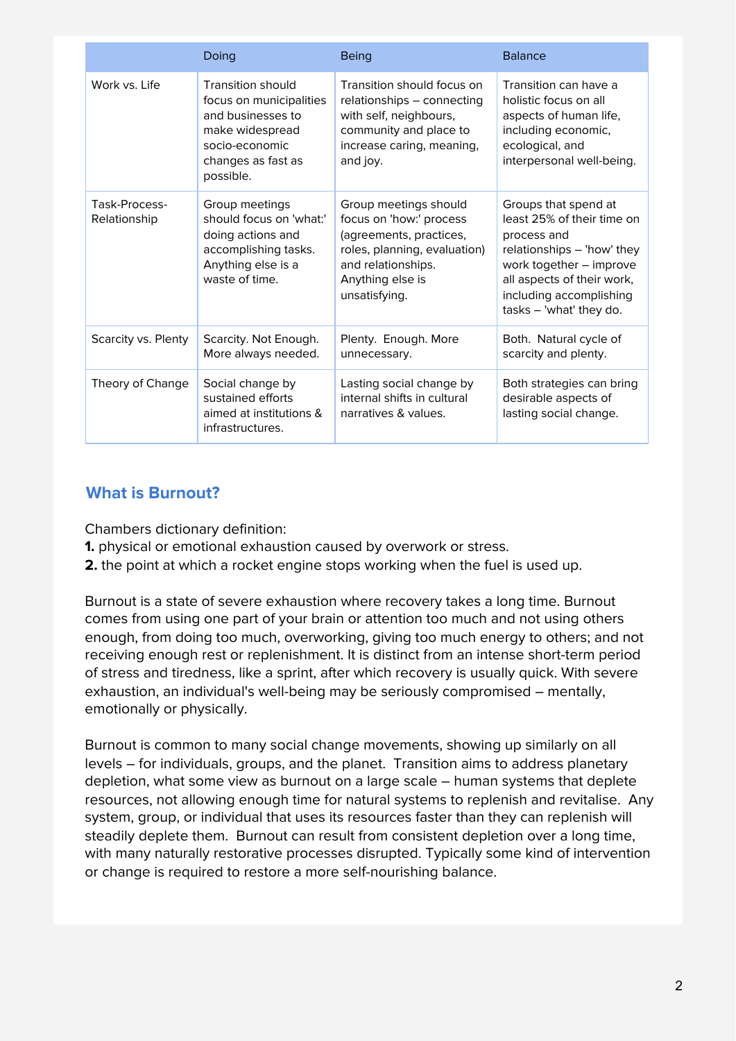|                               | Doing                                                                                                                                            | <b>Being</b>                                                                                                                                                           | <b>Balance</b>                                                                                                                                                                                                 |
|-------------------------------|--------------------------------------------------------------------------------------------------------------------------------------------------|------------------------------------------------------------------------------------------------------------------------------------------------------------------------|----------------------------------------------------------------------------------------------------------------------------------------------------------------------------------------------------------------|
| Work vs. Life                 | <b>Transition should</b><br>focus on municipalities<br>and businesses to<br>make widespread<br>socio-economic<br>changes as fast as<br>possible. | Transition should focus on<br>relationships - connecting<br>with self, neighbours,<br>community and place to<br>increase caring, meaning,<br>and joy.                  | Transition can have a<br>holistic focus on all<br>aspects of human life,<br>including economic,<br>ecological, and<br>interpersonal well-being.                                                                |
| Task-Process-<br>Relationship | Group meetings<br>should focus on 'what:'<br>doing actions and<br>accomplishing tasks.<br>Anything else is a<br>waste of time.                   | Group meetings should<br>focus on 'how:' process<br>(agreements, practices,<br>roles, planning, evaluation)<br>and relationships.<br>Anything else is<br>unsatisfying. | Groups that spend at<br>least 25% of their time on<br>process and<br>relationships - 'how' they<br>work together - improve<br>all aspects of their work,<br>including accomplishing<br>tasks - 'what' they do. |
| Scarcity vs. Plenty           | Scarcity. Not Enough.<br>More always needed.                                                                                                     | Plenty. Enough. More<br>unnecessary.                                                                                                                                   | Both. Natural cycle of<br>scarcity and plenty.                                                                                                                                                                 |
| Theory of Change              | Social change by<br>sustained efforts<br>aimed at institutions &<br>infrastructures.                                                             | Lasting social change by<br>internal shifts in cultural<br>narratives & values.                                                                                        | Both strategies can bring<br>desirable aspects of<br>lasting social change.                                                                                                                                    |

# **What is Burnout?**

Chambers dictionary definition:

- **1.** physical or emotional exhaustion caused by overwork or stress.
- **2.** the point at which a rocket engine stops working when the fuel is used up.

Burnout is a state of severe exhaustion where recovery takes a long time. Burnout comes from using one part of your brain or attention too much and not using others enough, from doing too much, overworking, giving too much energy to others; and not receiving enough rest or replenishment. It is distinct from an intense short-term period of stress and tiredness, like a sprint, after which recovery is usually quick. With severe exhaustion, an individual's well-being may be seriously compromised – mentally, emotionally or physically.

Burnout is common to many social change movements, showing up similarly on all levels – for individuals, groups, and the planet. Transition aims to address planetary depletion, what some view as burnout on a large scale – human systems that deplete resources, not allowing enough time for natural systems to replenish and revitalise. Any system, group, or individual that uses its resources faster than they can replenish will steadily deplete them. Burnout can result from consistent depletion over a long time, with many naturally restorative processes disrupted. Typically some kind of intervention or change is required to restore a more self-nourishing balance.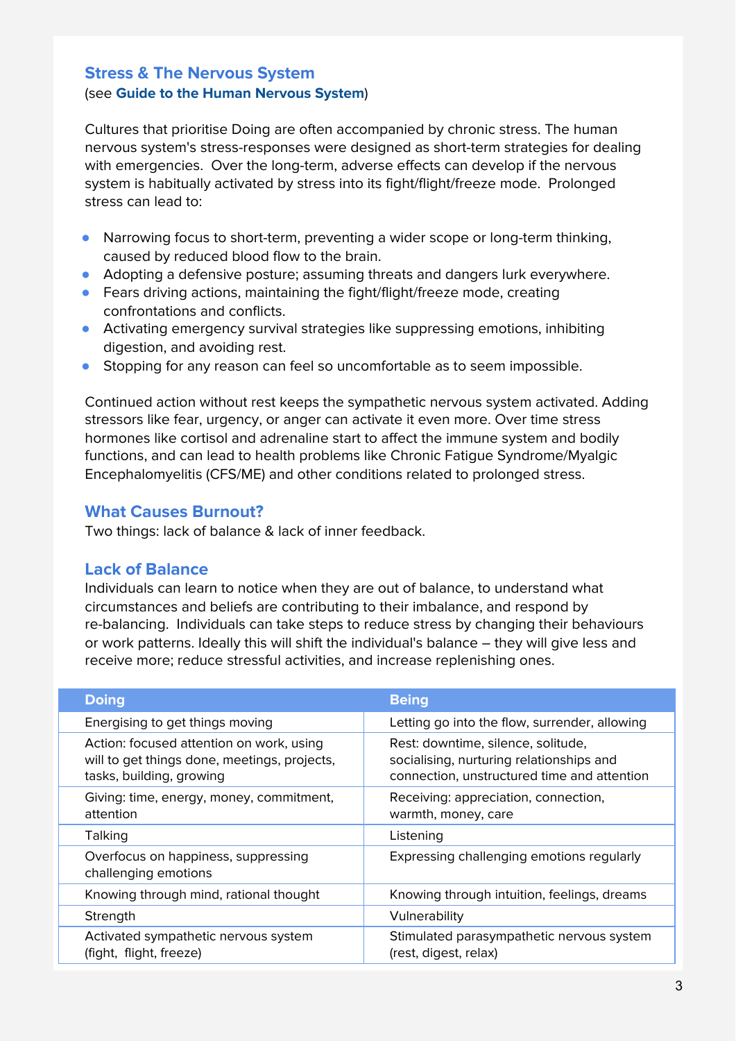# **Stress & The Nervous System** (see **Guide to the Human Nervous System**)

Cultures that prioritise Doing are often accompanied by chronic stress. The human nervous system's stress-responses were designed as short-term strategies for dealing with emergencies. Over the long-term, adverse effects can develop if the nervous system is habitually activated by stress into its fight/flight/freeze mode. Prolonged stress can lead to:

- Narrowing focus to short-term, preventing a wider scope or long-term thinking, caused by reduced blood flow to the brain.
- Adopting a defensive posture; assuming threats and dangers lurk everywhere.
- Fears driving actions, maintaining the fight/flight/freeze mode, creating confrontations and conflicts.
- Activating emergency survival strategies like suppressing emotions, inhibiting digestion, and avoiding rest.
- Stopping for any reason can feel so uncomfortable as to seem impossible.

Continued action without rest keeps the sympathetic nervous system activated. Adding stressors like fear, urgency, or anger can activate it even more. Over time stress hormones like cortisol and adrenaline start to affect the immune system and bodily functions, and can lead to health problems like Chronic Fatigue Syndrome/Myalgic Encephalomyelitis (CFS/ME) and other conditions related to prolonged stress.

## **What Causes Burnout?**

Two things: lack of balance & lack of inner feedback.

## **Lack of Balance**

Individuals can learn to notice when they are out of balance, to understand what circumstances and beliefs are contributing to their imbalance, and respond by re-balancing. Individuals can take steps to reduce stress by changing their behaviours or work patterns. Ideally this will shift the individual's balance – they will give less and receive more; reduce stressful activities, and increase replenishing ones.

| <b>Doing</b>                                                                                                         | <b>Being</b>                                                                                                                  |
|----------------------------------------------------------------------------------------------------------------------|-------------------------------------------------------------------------------------------------------------------------------|
| Energising to get things moving                                                                                      | Letting go into the flow, surrender, allowing                                                                                 |
| Action: focused attention on work, using<br>will to get things done, meetings, projects,<br>tasks, building, growing | Rest: downtime, silence, solitude,<br>socialising, nurturing relationships and<br>connection, unstructured time and attention |
| Giving: time, energy, money, commitment,<br>attention                                                                | Receiving: appreciation, connection,<br>warmth, money, care                                                                   |
| Talking                                                                                                              | Listening                                                                                                                     |
| Overfocus on happiness, suppressing<br>challenging emotions                                                          | Expressing challenging emotions regularly                                                                                     |
| Knowing through mind, rational thought                                                                               | Knowing through intuition, feelings, dreams                                                                                   |
| Strength                                                                                                             | Vulnerability                                                                                                                 |
| Activated sympathetic nervous system<br>(fight, flight, freeze)                                                      | Stimulated parasympathetic nervous system<br>(rest, digest, relax)                                                            |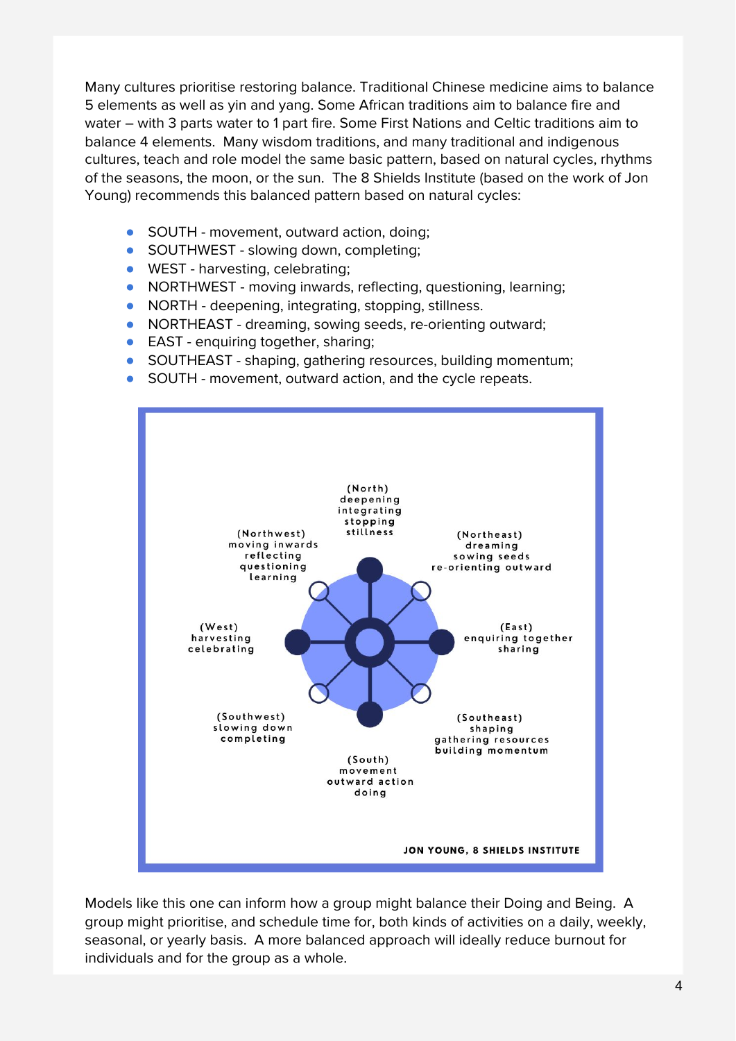Many cultures prioritise restoring balance. Traditional Chinese medicine aims to balance 5 elements as well as yin and yang. Some African traditions aim to balance fire and water – with 3 parts water to 1 part fire. Some First Nations and Celtic traditions aim to balance 4 elements. Many wisdom traditions, and many traditional and indigenous cultures, teach and role model the same basic pattern, based on natural cycles, rhythms of the seasons, the moon, or the sun. The 8 Shields Institute (based on the work of Jon Young) recommends this balanced pattern based on natural cycles:

- SOUTH movement, outward action, doing;
- SOUTHWEST slowing down, completing;
- WEST harvesting, celebrating;
- NORTHWEST moving inwards, reflecting, questioning, learning;
- NORTH deepening, integrating, stopping, stillness.
- NORTHEAST dreaming, sowing seeds, re-orienting outward;
- EAST enquiring together, sharing;
- SOUTHEAST shaping, gathering resources, building momentum;
- SOUTH movement, outward action, and the cycle repeats.



Models like this one can inform how a group might balance their Doing and Being. A group might prioritise, and schedule time for, both kinds of activities on a daily, weekly, seasonal, or yearly basis. A more balanced approach will ideally reduce burnout for individuals and for the group as a whole.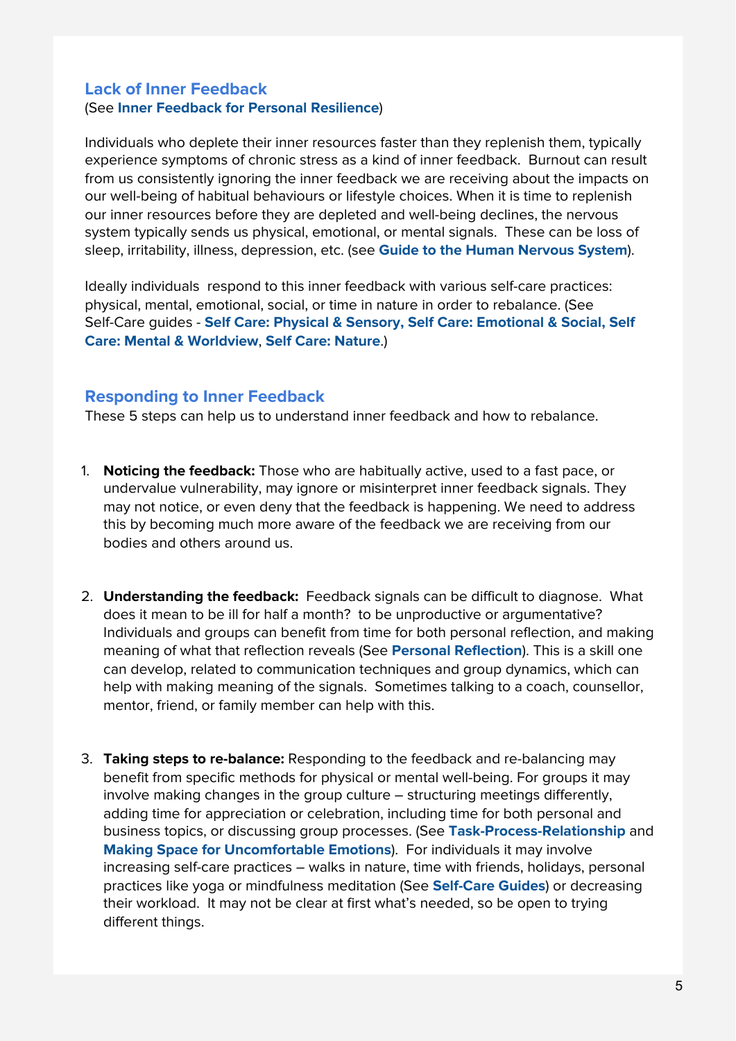## **Lack of Inner Feedback** (See **Inner Feedback for Personal Resilience**)

Individuals who deplete their inner resources faster than they replenish them, typically experience symptoms of chronic stress as a kind of inner feedback. Burnout can result from us consistently ignoring the inner feedback we are receiving about the impacts on our well-being of habitual behaviours or lifestyle choices. When it is time to replenish our inner resources before they are depleted and well-being declines, the nervous system typically sends us physical, emotional, or mental signals. These can be loss of sleep, irritability, illness, depression, etc. (see **Guide to the Human Nervous System**).

Ideally individuals respond to this inner feedback with various self-care practices: physical, mental, emotional, social, or time in nature in order to rebalance. (See Self-Care guides - **Self Care: Physical & Sensory, Self Care: Emotional & Social, Self Care: Mental & Worldview**, **Self Care: Nature**.)

# **Responding to Inner Feedback**

These 5 steps can help us to understand inner feedback and how to rebalance.

- 1. **Noticing the feedback:** Those who are habitually active, used to a fast pace, or undervalue vulnerability, may ignore or misinterpret inner feedback signals. They may not notice, or even deny that the feedback is happening. We need to address this by becoming much more aware of the feedback we are receiving from our bodies and others around us.
- 2. **Understanding the feedback:** Feedback signals can be difficult to diagnose. What does it mean to be ill for half a month? to be unproductive or argumentative? Individuals and groups can benefit from time for both personal reflection, and making meaning of what that reflection reveals (See **Personal Reflection**). This is a skill one can develop, related to communication techniques and group dynamics, which can help with making meaning of the signals. Sometimes talking to a coach, counsellor, mentor, friend, or family member can help with this.
- 3. **Taking steps to re-balance:** Responding to the feedback and re-balancing may benefit from specific methods for physical or mental well-being. For groups it may involve making changes in the group culture – structuring meetings differently, adding time for appreciation or celebration, including time for both personal and business topics, or discussing group processes. (See **Task-Process-Relationship** and **Making Space for Uncomfortable Emotions**). For individuals it may involve increasing self-care practices – walks in nature, time with friends, holidays, personal practices like yoga or mindfulness meditation (See **Self-Care Guides**) or decreasing their workload. It may not be clear at first what's needed, so be open to trying different things.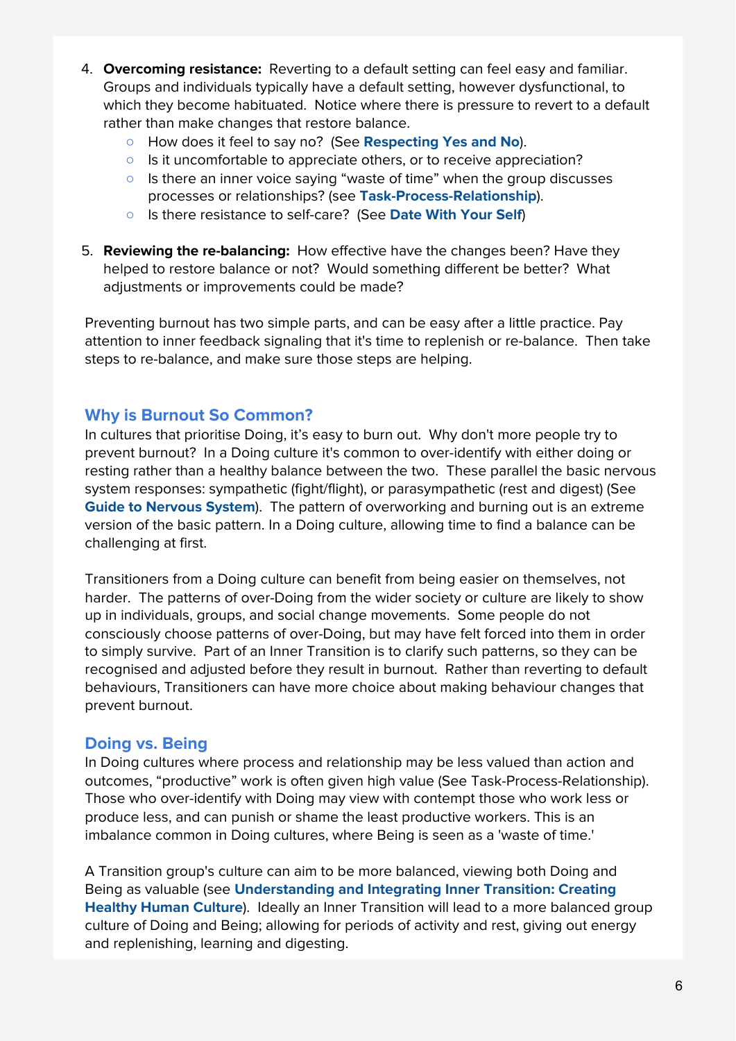- 4. **Overcoming resistance:** Reverting to a default setting can feel easy and familiar. Groups and individuals typically have a default setting, however dysfunctional, to which they become habituated. Notice where there is pressure to revert to a default rather than make changes that restore balance.
	- How does it feel to say no? (See **Respecting Yes and No**).
	- Is it uncomfortable to appreciate others, or to receive appreciation?
	- Is there an inner voice saying "waste of time" when the group discusses processes or relationships? (see **Task-Process-Relationship**).
	- Is there resistance to self-care? (See **Date With Your Self**)
- 5. **Reviewing the re-balancing:** How effective have the changes been? Have they helped to restore balance or not? Would something different be better? What adjustments or improvements could be made?

Preventing burnout has two simple parts, and can be easy after a little practice. Pay attention to inner feedback signaling that it's time to replenish or re-balance. Then take steps to re-balance, and make sure those steps are helping.

## **Why is Burnout So Common?**

In cultures that prioritise Doing, it's easy to burn out. Why don't more people try to prevent burnout? In a Doing culture it's common to over-identify with either doing or resting rather than a healthy balance between the two. These parallel the basic nervous system responses: sympathetic (fight/flight), or parasympathetic (rest and digest) (See **Guide to Nervous System**). The pattern of overworking and burning out is an extreme version of the basic pattern. In a Doing culture, allowing time to find a balance can be challenging at first.

Transitioners from a Doing culture can benefit from being easier on themselves, not harder. The patterns of over-Doing from the wider society or culture are likely to show up in individuals, groups, and social change movements. Some people do not consciously choose patterns of over-Doing, but may have felt forced into them in order to simply survive. Part of an Inner Transition is to clarify such patterns, so they can be recognised and adjusted before they result in burnout. Rather than reverting to default behaviours, Transitioners can have more choice about making behaviour changes that prevent burnout.

## **Doing vs. Being**

In Doing cultures where process and relationship may be less valued than action and outcomes, "productive" work is often given high value (See Task-Process-Relationship). Those who over-identify with Doing may view with contempt those who work less or produce less, and can punish or shame the least productive workers. This is an imbalance common in Doing cultures, where Being is seen as a 'waste of time.'

A Transition group's culture can aim to be more balanced, viewing both Doing and Being as valuable (see **Understanding and Integrating Inner Transition: Creating Healthy Human Culture**). Ideally an Inner Transition will lead to a more balanced group culture of Doing and Being; allowing for periods of activity and rest, giving out energy and replenishing, learning and digesting.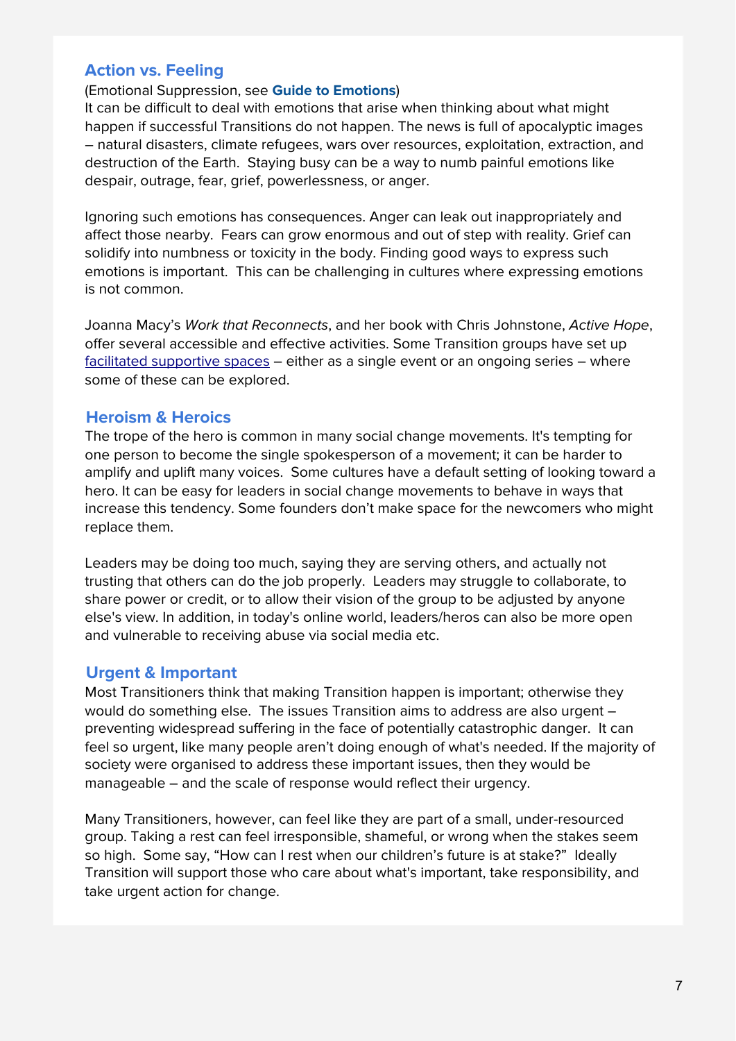# **Action vs. Feeling**

#### (Emotional Suppression, see **Guide to Emotions**)

It can be difficult to deal with emotions that arise when thinking about what might happen if successful Transitions do not happen. The news is full of apocalyptic images – natural disasters, climate refugees, wars over resources, exploitation, extraction, and destruction of the Earth. Staying busy can be a way to numb painful emotions like despair, outrage, fear, grief, powerlessness, or anger.

Ignoring such emotions has consequences. Anger can leak out inappropriately and affect those nearby. Fears can grow enormous and out of step with reality. Grief can solidify into numbness or toxicity in the body. Finding good ways to express such emotions is important. This can be challenging in cultures where expressing emotions is not common.

Joanna Macy's Work that Reconnects, and her book with Chris Johnstone, Active Hope, offer several accessible and effective activities. Some Transition groups have set up facilitated [supportive](https://www.youtube.com/watch?v=nHOZjnbfL-s) spaces – either as a single event or an ongoing series – where some of these can be explored.

## **Heroism & Heroics**

The trope of the hero is common in many social change movements. It's tempting for one person to become the single spokesperson of a movement; it can be harder to amplify and uplift many voices. Some cultures have a default setting of looking toward a hero. It can be easy for leaders in social change movements to behave in ways that increase this tendency. Some founders don't make space for the newcomers who might replace them.

Leaders may be doing too much, saying they are serving others, and actually not trusting that others can do the job properly. Leaders may struggle to collaborate, to share power or credit, or to allow their vision of the group to be adjusted by anyone else's view. In addition, in today's online world, leaders/heros can also be more open and vulnerable to receiving abuse via social media etc.

## **Urgent & Important**

Most Transitioners think that making Transition happen is important; otherwise they would do something else. The issues Transition aims to address are also urgent – preventing widespread suffering in the face of potentially catastrophic danger. It can feel so urgent, like many people aren't doing enough of what's needed. If the majority of society were organised to address these important issues, then they would be manageable – and the scale of response would reflect their urgency.

Many Transitioners, however, can feel like they are part of a small, under-resourced group. Taking a rest can feel irresponsible, shameful, or wrong when the stakes seem so high. Some say, "How can I rest when our children's future is at stake?" Ideally Transition will support those who care about what's important, take responsibility, and take urgent action for change.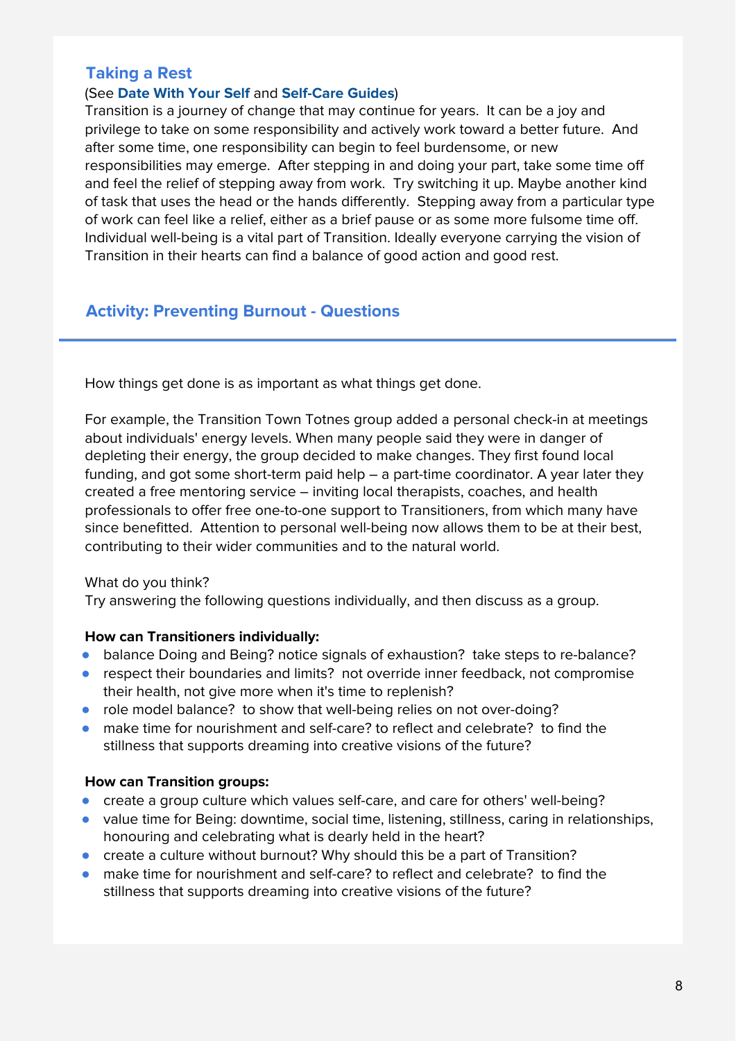# **Taking a Rest**

### (See **Date With Your Self** and **Self-Care Guides**)

Transition is a journey of change that may continue for years. It can be a joy and privilege to take on some responsibility and actively work toward a better future. And after some time, one responsibility can begin to feel burdensome, or new responsibilities may emerge. After stepping in and doing your part, take some time off and feel the relief of stepping away from work. Try switching it up. Maybe another kind of task that uses the head or the hands differently. Stepping away from a particular type of work can feel like a relief, either as a brief pause or as some more fulsome time off. Individual well-being is a vital part of Transition. Ideally everyone carrying the vision of Transition in their hearts can find a balance of good action and good rest.

# **Activity: Preventing Burnout - Questions**

How things get done is as important as what things get done.

For example, the Transition Town Totnes group added a personal check-in at meetings about individuals' energy levels. When many people said they were in danger of depleting their energy, the group decided to make changes. They first found local funding, and got some short-term paid help – a part-time coordinator. A year later they created a free [mentoring](https://www.youtube.com/watch?v=TYgY-Oveox4) service – inviting local therapists, coaches, and health professionals to offer free one-to-one support to Transitioners, from which many have since benefitted. Attention to personal well-being now allows them to be at their best, contributing to their wider communities and to the natural world.

### What do you think?

Try answering the following questions individually, and then discuss as a group.

#### **How can Transitioners individually:**

- balance Doing and Being? notice signals of exhaustion? take steps to re-balance?
- respect their boundaries and limits? not override inner feedback, not compromise their health, not give more when it's time to replenish?
- role model balance? to show that well-being relies on not over-doing?
- make time for nourishment and self-care? to reflect and celebrate? to find the stillness that supports dreaming into creative visions of the future?

#### **How can Transition groups:**

- create a group culture which values self-care, and care for others' well-being?
- value time for Being: downtime, social time, listening, stillness, caring in relationships, honouring and celebrating what is dearly held in the heart?
- create a culture without burnout? Why should this be a part of Transition?
- make time for nourishment and self-care? to reflect and celebrate? to find the stillness that supports dreaming into creative visions of the future?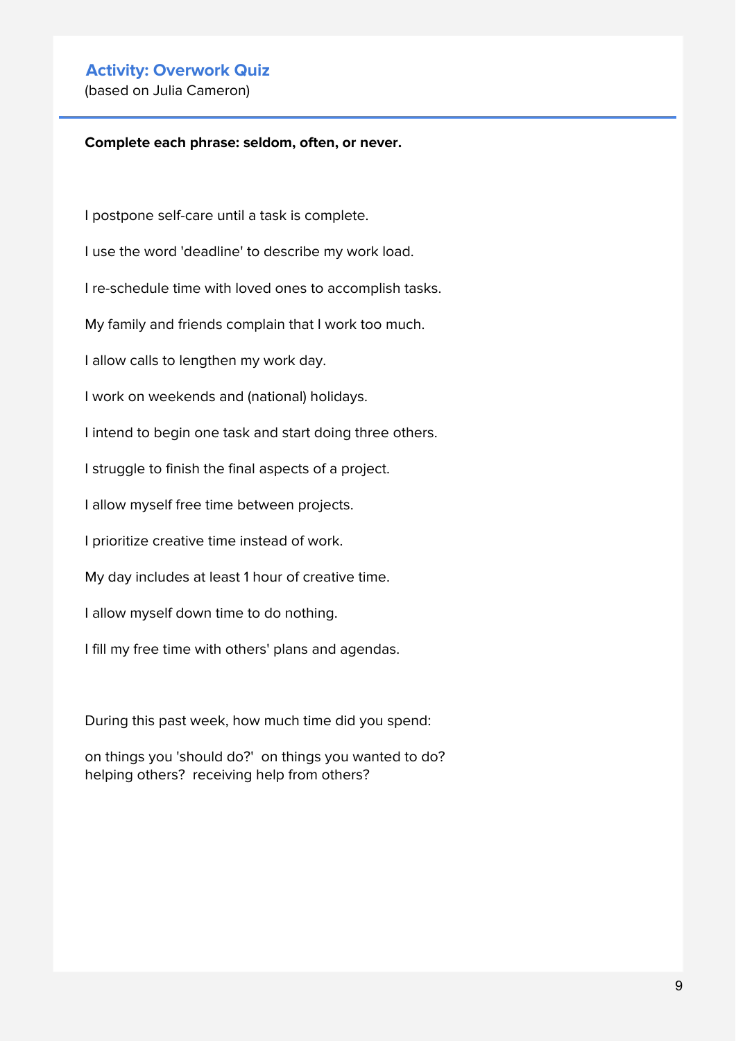## **Activity: Overwork Quiz**

(based on Julia Cameron)

#### **Complete each phrase: seldom, often, or never.**

I postpone self-care until a task is complete.

I use the word 'deadline' to describe my work load.

I re-schedule time with loved ones to accomplish tasks.

My family and friends complain that I work too much.

I allow calls to lengthen my work day.

I work on weekends and (national) holidays.

I intend to begin one task and start doing three others.

I struggle to finish the final aspects of a project.

I allow myself free time between projects.

I prioritize creative time instead of work.

My day includes at least 1 hour of creative time.

I allow myself down time to do nothing.

I fill my free time with others' plans and agendas.

During this past week, how much time did you spend:

on things you 'should do?' on things you wanted to do? helping others? receiving help from others?